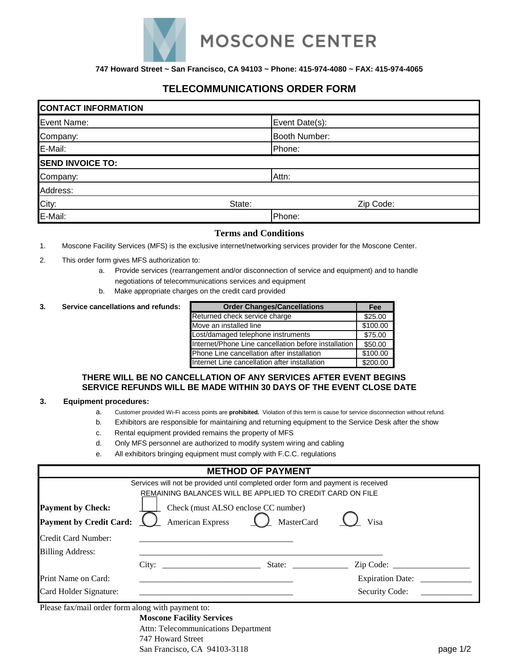

**747 Howard Street ~ San Francisco, CA 94103 ~ Phone: 415-974-4080 ~ FAX: 415-974-4065**

# **TELECOMMUNICATIONS ORDER FORM**

| <b>CONTACT INFORMATION</b> |        |                |  |  |  |
|----------------------------|--------|----------------|--|--|--|
| Event Name:                |        | Event Date(s): |  |  |  |
| Company:                   |        | Booth Number:  |  |  |  |
| E-Mail:                    |        | Phone:         |  |  |  |
| <b>SEND INVOICE TO:</b>    |        |                |  |  |  |
| Company:                   |        | Attn:          |  |  |  |
| Address:                   |        |                |  |  |  |
| City:                      | State: | Zip Code:      |  |  |  |
| E-Mail:                    |        | Phone:         |  |  |  |

## **Terms and Conditions**

- 1. Moscone Facility Services (MFS) is the exclusive internet/networking services provider for the Moscone Center.
- 2. This order form gives MFS authorization to:
	- a. Provide services (rearrangement and/or disconnection of service and equipment) and to handle negotiations of telecommunications services and equipment
	- b. Make appropriate charges on the credit card provided

#### **3.** Service cancellations and refunds:

| <b>Order Changes/Cancellations</b>                   | Fee      |
|------------------------------------------------------|----------|
| Returned check service charge                        | \$25.00  |
| Move an installed line                               | \$100.00 |
| Lost/damaged telephone instruments                   | \$75.00  |
| Internet/Phone Line cancellation before installation | \$50.00  |
| Phone Line cancellation after installation           | \$100.00 |
| Internet Line cancellation after installation        | \$200.00 |

#### **THERE WILL BE NO CANCELLATION OF ANY SERVICES AFTER EVENT BEGINS SERVICE REFUNDS WILL BE MADE WITHIN 30 DAYS OF THE EVENT CLOSE DATE**

#### **3. Equipment procedures:**

- a. Customer provided Wi-Fi access points are **prohibited.** Violation of this term is cause for service disconnection without refund.
- b. Exhibitors are responsible for maintaining and returning equipment to the Service Desk after the show
- c. Rental equipment provided remains the property of MFS
- d. Only MFS personnel are authorized to modify system wiring and cabling
- e. All exhibitors bringing equipment must comply with F.C.C. regulations

|                                                            |                                                                                                                                                                   | <b>METHOD OF PAYMENT</b>                          |                             |  |
|------------------------------------------------------------|-------------------------------------------------------------------------------------------------------------------------------------------------------------------|---------------------------------------------------|-----------------------------|--|
| <b>Payment by Check:</b><br><b>Payment by Credit Card:</b> | Services will not be provided until completed order form and payment is received<br>REMAINING BALANCES WILL BE APPLIED TO CREDIT CARD ON FILE<br>American Express | Check (must ALSO enclose CC number)<br>MasterCard | Visa                        |  |
| Credit Card Number:<br><b>Billing Address:</b>             |                                                                                                                                                                   |                                                   |                             |  |
| Print Name on Card:<br>Card Holder Signature:              | City: State:                                                                                                                                                      |                                                   | Zip Code:<br>Security Code: |  |

Please fax/mail order form along with payment to:

**Moscone Facility Services** Attn: Telecommunications Department 747 Howard Street San Francisco, CA 94103-3118 page 1/2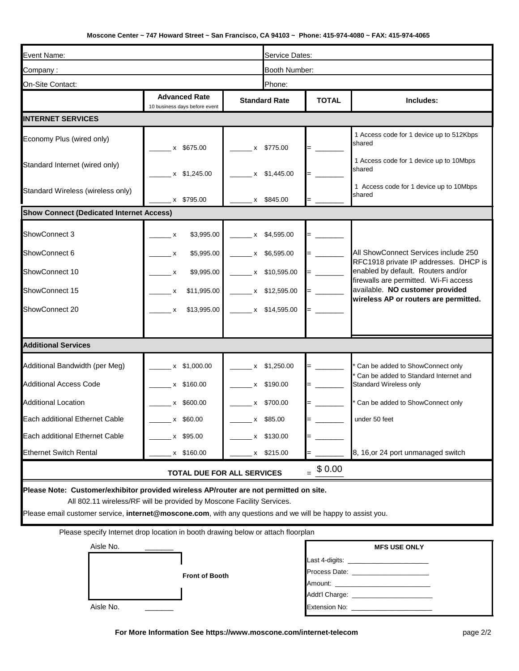## **Moscone Center ~ 747 Howard Street ~ San Francisco, CA 94103 ~ Phone: 415-974-4080 ~ FAX: 415-974-4065**

| Event Name:                                                                                                                                                                                                                                                                    |                                                       |                               | Service Dates:                                       |                                                                                                                                                                                                                                                                                                                        |                                                                               |
|--------------------------------------------------------------------------------------------------------------------------------------------------------------------------------------------------------------------------------------------------------------------------------|-------------------------------------------------------|-------------------------------|------------------------------------------------------|------------------------------------------------------------------------------------------------------------------------------------------------------------------------------------------------------------------------------------------------------------------------------------------------------------------------|-------------------------------------------------------------------------------|
| Company:                                                                                                                                                                                                                                                                       |                                                       |                               | Booth Number:                                        |                                                                                                                                                                                                                                                                                                                        |                                                                               |
| On-Site Contact:                                                                                                                                                                                                                                                               |                                                       |                               | Phone:                                               |                                                                                                                                                                                                                                                                                                                        |                                                                               |
|                                                                                                                                                                                                                                                                                | <b>Advanced Rate</b><br>10 business days before event |                               | <b>Standard Rate</b>                                 |                                                                                                                                                                                                                                                                                                                        | Includes:                                                                     |
| <b>INTERNET SERVICES</b>                                                                                                                                                                                                                                                       |                                                       |                               |                                                      |                                                                                                                                                                                                                                                                                                                        |                                                                               |
| Economy Plus (wired only)                                                                                                                                                                                                                                                      | x \$675.00                                            |                               | x \$775.00                                           |                                                                                                                                                                                                                                                                                                                        | 1 Access code for 1 device up to 512Kbps<br>shared                            |
| Standard Internet (wired only)                                                                                                                                                                                                                                                 | $x$ \$1,245.00                                        |                               | x \$1,445.00                                         |                                                                                                                                                                                                                                                                                                                        | 1 Access code for 1 device up to 10Mbps<br>shared                             |
| Standard Wireless (wireless only)                                                                                                                                                                                                                                              | $x$ \$795.00                                          | $x$ \$845.00                  |                                                      |                                                                                                                                                                                                                                                                                                                        | 1 Access code for 1 device up to 10Mbps<br>shared                             |
| <b>Show Connect (Dedicated Internet Access)</b>                                                                                                                                                                                                                                |                                                       |                               |                                                      |                                                                                                                                                                                                                                                                                                                        |                                                                               |
| ShowConnect 3                                                                                                                                                                                                                                                                  | \$3,995.00<br>$\mathsf{x}$                            |                               | x \$4,595.00                                         |                                                                                                                                                                                                                                                                                                                        |                                                                               |
| ShowConnect 6                                                                                                                                                                                                                                                                  | \$5,995.00<br>$\mathbf{x}$                            |                               | $x$ \$6,595.00                                       | $\mathcal{L}^{\text{max}}$ and $\mathcal{L}^{\text{max}}$                                                                                                                                                                                                                                                              | All ShowConnect Services include 250<br>RFC1918 private IP addresses. DHCP is |
| ShowConnect 10                                                                                                                                                                                                                                                                 | \$9,995.00<br>$\mathsf{X}$                            |                               | $x$ \$10,595.00                                      | $=$ $\frac{1}{2}$ $\frac{1}{2}$ $\frac{1}{2}$ $\frac{1}{2}$ $\frac{1}{2}$ $\frac{1}{2}$ $\frac{1}{2}$ $\frac{1}{2}$ $\frac{1}{2}$ $\frac{1}{2}$ $\frac{1}{2}$ $\frac{1}{2}$ $\frac{1}{2}$ $\frac{1}{2}$ $\frac{1}{2}$ $\frac{1}{2}$ $\frac{1}{2}$ $\frac{1}{2}$ $\frac{1}{2}$ $\frac{1}{2}$ $\frac{1}{2}$ $\frac{1}{2$ | enabled by default. Routers and/or<br>firewalls are permitted. Wi-Fi access   |
| ShowConnect 15                                                                                                                                                                                                                                                                 | \$11,995.00<br>$\mathsf{X}$                           | $\frac{1}{2}$ x \$12,595.00   |                                                      |                                                                                                                                                                                                                                                                                                                        | available. NO customer provided<br>wireless AP or routers are permitted.      |
| ShowConnect 20                                                                                                                                                                                                                                                                 | $\mathsf{X}$                                          | $$13,995.00$ $x$ $$14,595.00$ |                                                      |                                                                                                                                                                                                                                                                                                                        |                                                                               |
|                                                                                                                                                                                                                                                                                |                                                       |                               |                                                      |                                                                                                                                                                                                                                                                                                                        |                                                                               |
| <b>Additional Services</b>                                                                                                                                                                                                                                                     |                                                       |                               |                                                      |                                                                                                                                                                                                                                                                                                                        |                                                                               |
| Additional Bandwidth (per Meg)                                                                                                                                                                                                                                                 | x \$1,000.00                                          |                               | $x$ \$1,250.00                                       |                                                                                                                                                                                                                                                                                                                        | * Can be added to ShowConnect only                                            |
| <b>Additional Access Code</b>                                                                                                                                                                                                                                                  | x \$160.00                                            |                               | x \$190.00                                           |                                                                                                                                                                                                                                                                                                                        | Can be added to Standard Internet and<br>Standard Wireless only               |
| <b>Additional Location</b>                                                                                                                                                                                                                                                     | x \$600.00                                            |                               | x \$700.00                                           |                                                                                                                                                                                                                                                                                                                        | Can be added to ShowConnect only                                              |
| Each additional Ethernet Cable                                                                                                                                                                                                                                                 | x \$60.00                                             |                               | x \$85.00                                            |                                                                                                                                                                                                                                                                                                                        | under 50 feet                                                                 |
| Each additional Ethernet Cable                                                                                                                                                                                                                                                 | x \$95.00                                             |                               | x \$130.00                                           |                                                                                                                                                                                                                                                                                                                        |                                                                               |
| <b>Ethernet Switch Rental</b>                                                                                                                                                                                                                                                  | x \$160.00                                            |                               | x \$215.00                                           |                                                                                                                                                                                                                                                                                                                        | 8, 16, or 24 port unmanaged switch                                            |
| $=$ \$ 0.00<br>TOTAL DUE FOR ALL SERVICES                                                                                                                                                                                                                                      |                                                       |                               |                                                      |                                                                                                                                                                                                                                                                                                                        |                                                                               |
| Please Note: Customer/exhibitor provided wireless AP/router are not permitted on site.<br>All 802.11 wireless/RF will be provided by Moscone Facility Services.<br>Please email customer service, internet@moscone.com, with any questions and we will be happy to assist you. |                                                       |                               |                                                      |                                                                                                                                                                                                                                                                                                                        |                                                                               |
| Please specify Internet drop location in booth drawing below or attach floorplan                                                                                                                                                                                               |                                                       |                               |                                                      |                                                                                                                                                                                                                                                                                                                        |                                                                               |
| Aisle No.                                                                                                                                                                                                                                                                      |                                                       |                               |                                                      |                                                                                                                                                                                                                                                                                                                        | <b>MFS USE ONLY</b>                                                           |
| <b>Front of Booth</b>                                                                                                                                                                                                                                                          |                                                       |                               | Last 4-digits: __________________________<br>Amount: |                                                                                                                                                                                                                                                                                                                        |                                                                               |

**For More Information See https://www.moscone.com/internet-telecom**

Aisle No. \_\_\_\_\_\_\_ Extension No: \_\_\_\_\_\_\_\_\_\_\_\_\_\_\_\_\_\_\_\_\_\_

Addt'l Charge: \_\_\_\_\_\_\_\_\_\_\_\_\_\_\_\_\_\_\_\_\_\_\_\_\_\_\_